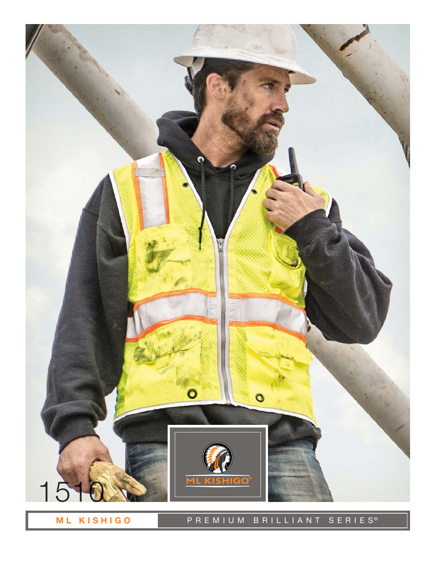

ML KISHIGO

## PREMIUM BRILLIANT SERIES®